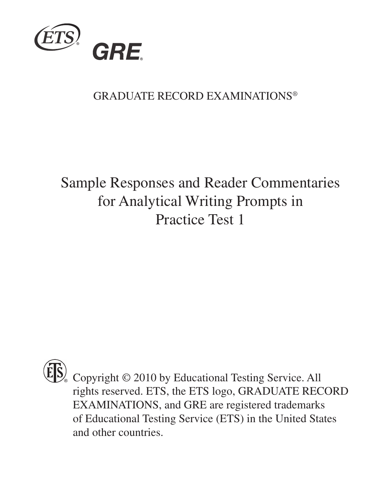

#### GRADUATE RECORD EXAMINATIONS®

#### Sample Responses and Reader Commentaries for Analytical Writing Prompts in Practice Test 1



 $\mathbb{S}_{\infty}$  Copyright © 2010 by Educational Testing Service. All rights reserved. ETS, the ETS logo, GRADUATE RECORD EXAMINATIONS, and GRE are registered trademarks of Educational Testing Service (ETS) in the United States and other countries.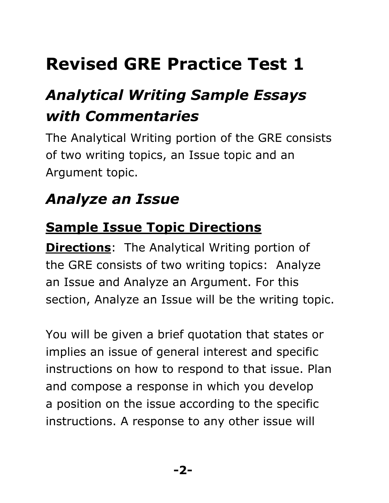## **Revised GRE Practice Test 1**

## *Analytical Writing Sample Essays with Commentaries*

The Analytical Writing portion of the GRE consists of two writing topics, an Issue topic and an Argument topic.

### *Analyze an Issue*

#### **Sample Issue Topic Directions**

**Directions**: The Analytical Writing portion of the GRE consists of two writing topics: Analyze an Issue and Analyze an Argument. For this section, Analyze an Issue will be the writing topic.

You will be given a brief quotation that states or implies an issue of general interest and specific instructions on how to respond to that issue. Plan and compose a response in which you develop a position on the issue according to the specific instructions. A response to any other issue will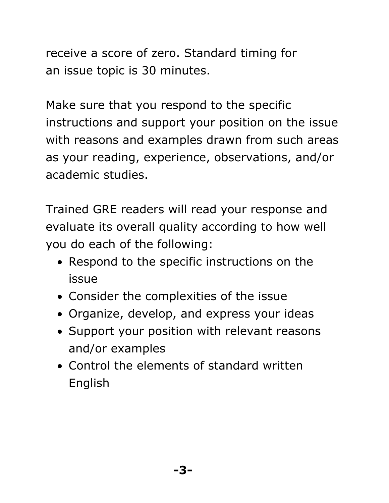receive a score of zero. Standard timing for an issue topic is 30 minutes.

Make sure that you respond to the specific instructions and support your position on the issue with reasons and examples drawn from such areas as your reading, experience, observations, and/or academic studies.

Trained GRE readers will read your response and evaluate its overall quality according to how well you do each of the following:

- Respond to the specific instructions on the issue
- Consider the complexities of the issue
- Organize, develop, and express your ideas
- Support your position with relevant reasons and/or examples
- Control the elements of standard written English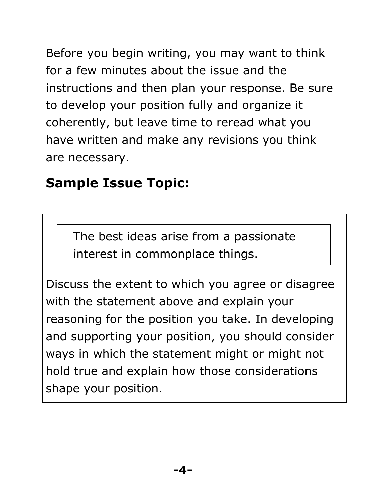Before you begin writing, you may want to think for a few minutes about the issue and the instructions and then plan your response. Be sure to develop your position fully and organize it coherently, but leave time to reread what you have written and make any revisions you think are necessary.

#### **Sample Issue Topic:**

The best ideas arise from a passionate interest in commonplace things.

Discuss the extent to which you agree or disagree with the statement above and explain your reasoning for the position you take. In developing and supporting your position, you should consider ways in which the statement might or might not hold true and explain how those considerations shape your position.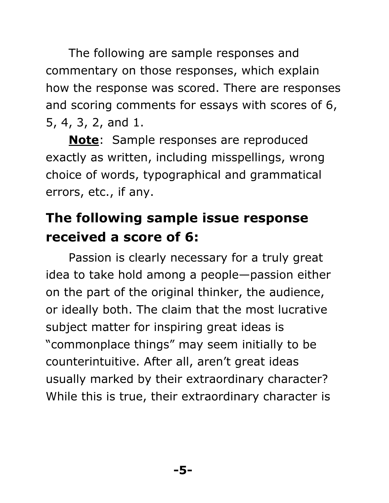The following are sample responses and commentary on those responses, which explain how the response was scored. There are responses and scoring comments for essays with scores of 6, 5, 4, 3, 2, and 1.

**Note**: Sample responses are reproduced exactly as written, including misspellings, wrong choice of words, typographical and grammatical errors, etc., if any.

#### **The following sample issue response received a score of 6:**

Passion is clearly necessary for a truly great idea to take hold among a people—passion either on the part of the original thinker, the audience, or ideally both. The claim that the most lucrative subject matter for inspiring great ideas is "commonplace things" may seem initially to be counterintuitive. After all, aren't great ideas usually marked by their extraordinary character? While this is true, their extraordinary character is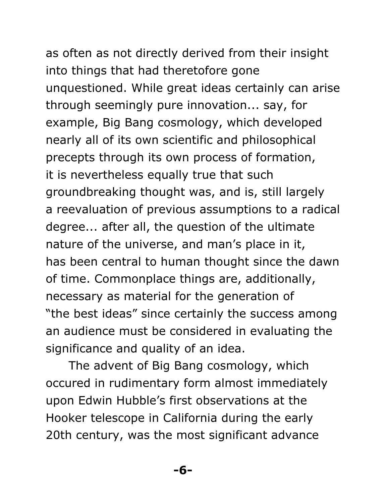# as often as not directly derived from their insight into things that had theretofore gone

unquestioned. While great ideas certainly can arise through seemingly pure innovation... say, for example, Big Bang cosmology, which developed nearly all of its own scientific and philosophical precepts through its own process of formation, it is nevertheless equally true that such groundbreaking thought was, and is, still largely a reevaluation of previous assumptions to a radical degree... after all, the question of the ultimate nature of the universe, and man's place in it, has been central to human thought since the dawn of time. Commonplace things are, additionally, necessary as material for the generation of "the best ideas" since certainly the success among an audience must be considered in evaluating the significance and quality of an idea.

The advent of Big Bang cosmology, which occured in rudimentary form almost immediately upon Edwin Hubble's first observations at the Hooker telescope in California during the early 20th century, was the most significant advance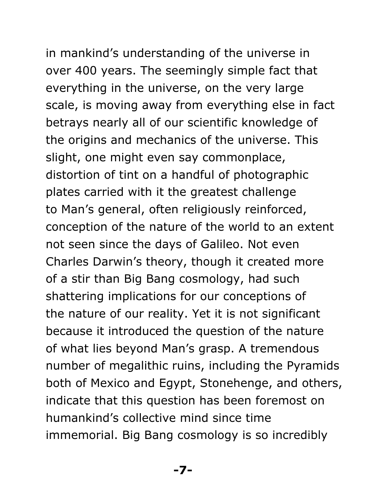in mankind's understanding of the universe in over 400 years. The seemingly simple fact that everything in the universe, on the very large scale, is moving away from everything else in fact betrays nearly all of our scientific knowledge of

the origins and mechanics of the universe. This slight, one might even say commonplace, distortion of tint on a handful of photographic plates carried with it the greatest challenge to Man's general, often religiously reinforced, conception of the nature of the world to an extent not seen since the days of Galileo. Not even Charles Darwin's theory, though it created more of a stir than Big Bang cosmology, had such shattering implications for our conceptions of the nature of our reality. Yet it is not significant because it introduced the question of the nature of what lies beyond Man's grasp. A tremendous number of megalithic ruins, including the Pyramids both of Mexico and Egypt, Stonehenge, and others, indicate that this question has been foremost on humankind's collective mind since time immemorial. Big Bang cosmology is so incredibly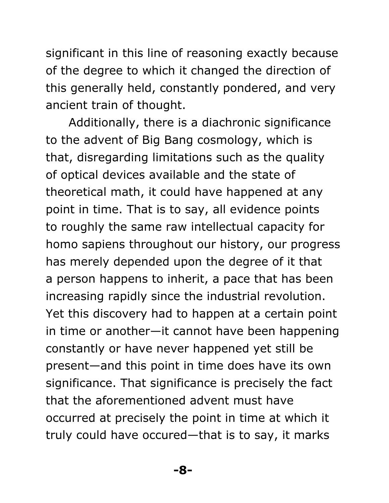significant in this line of reasoning exactly because of the degree to which it changed the direction of this generally held, constantly pondered, and very ancient train of thought.

Additionally, there is a diachronic significance to the advent of Big Bang cosmology, which is that, disregarding limitations such as the quality of optical devices available and the state of theoretical math, it could have happened at any point in time. That is to say, all evidence points to roughly the same raw intellectual capacity for homo sapiens throughout our history, our progress has merely depended upon the degree of it that a person happens to inherit, a pace that has been increasing rapidly since the industrial revolution. Yet this discovery had to happen at a certain point in time or another—it cannot have been happening constantly or have never happened yet still be present—and this point in time does have its own significance. That significance is precisely the fact that the aforementioned advent must have occurred at precisely the point in time at which it truly could have occured—that is to say, it marks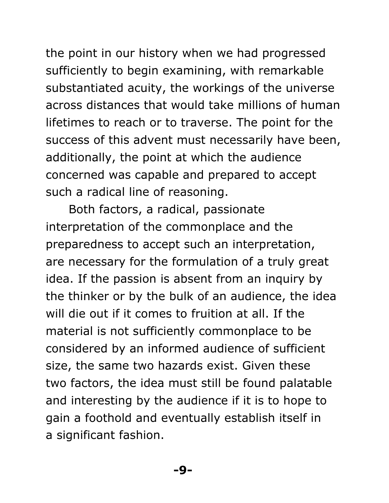the point in our history when we had progressed sufficiently to begin examining, with remarkable substantiated acuity, the workings of the universe across distances that would take millions of human lifetimes to reach or to traverse. The point for the success of this advent must necessarily have been, additionally, the point at which the audience concerned was capable and prepared to accept such a radical line of reasoning.

Both factors, a radical, passionate interpretation of the commonplace and the preparedness to accept such an interpretation, are necessary for the formulation of a truly great idea. If the passion is absent from an inquiry by the thinker or by the bulk of an audience, the idea will die out if it comes to fruition at all. If the material is not sufficiently commonplace to be considered by an informed audience of sufficient size, the same two hazards exist. Given these two factors, the idea must still be found palatable and interesting by the audience if it is to hope to gain a foothold and eventually establish itself in a significant fashion.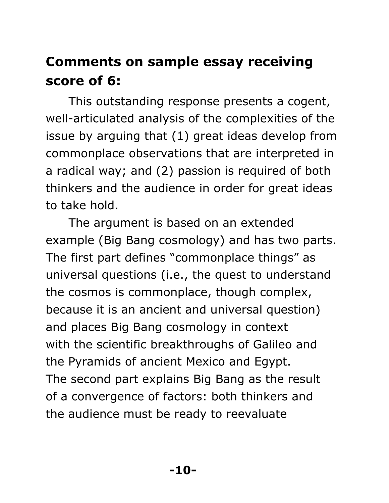#### **Comments on sample essay receiving score of 6:**

This outstanding response presents a cogent, well-articulated analysis of the complexities of the issue by arguing that (1) great ideas develop from commonplace observations that are interpreted in a radical way; and (2) passion is required of both thinkers and the audience in order for great ideas to take hold.

The argument is based on an extended example (Big Bang cosmology) and has two parts. The first part defines "commonplace things" as universal questions (i.e., the quest to understand the cosmos is commonplace, though complex, because it is an ancient and universal question) and places Big Bang cosmology in context with the scientific breakthroughs of Galileo and the Pyramids of ancient Mexico and Egypt. The second part explains Big Bang as the result of a convergence of factors: both thinkers and the audience must be ready to reevaluate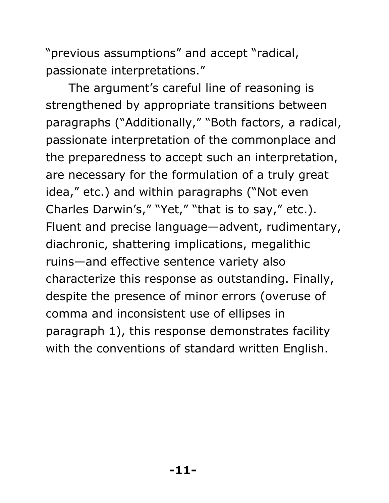"previous assumptions" and accept "radical, passionate interpretations."

The argument's careful line of reasoning is strengthened by appropriate transitions between paragraphs ("Additionally," "Both factors, a radical, passionate interpretation of the commonplace and the preparedness to accept such an interpretation, are necessary for the formulation of a truly great idea," etc.) and within paragraphs ("Not even Charles Darwin's," "Yet," "that is to say," etc.). Fluent and precise language—advent, rudimentary, diachronic, shattering implications, megalithic ruins—and effective sentence variety also characterize this response as outstanding. Finally, despite the presence of minor errors (overuse of comma and inconsistent use of ellipses in paragraph 1), this response demonstrates facility with the conventions of standard written English.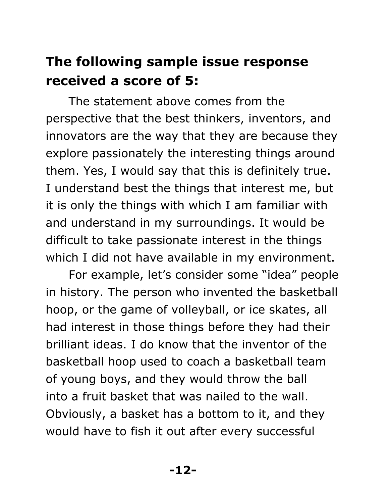#### **The following sample issue response received a score of 5:**

The statement above comes from the perspective that the best thinkers, inventors, and innovators are the way that they are because they explore passionately the interesting things around them. Yes, I would say that this is definitely true. I understand best the things that interest me, but it is only the things with which I am familiar with and understand in my surroundings. It would be difficult to take passionate interest in the things which I did not have available in my environment.

For example, let's consider some "idea" people in history. The person who invented the basketball hoop, or the game of volleyball, or ice skates, all had interest in those things before they had their brilliant ideas. I do know that the inventor of the basketball hoop used to coach a basketball team of young boys, and they would throw the ball into a fruit basket that was nailed to the wall. Obviously, a basket has a bottom to it, and they would have to fish it out after every successful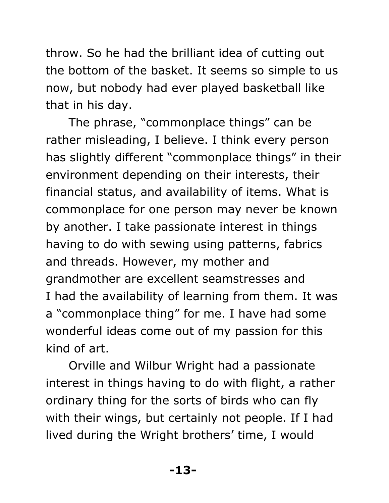throw. So he had the brilliant idea of cutting out the bottom of the basket. It seems so simple to us now, but nobody had ever played basketball like that in his day.

The phrase, "commonplace things" can be rather misleading, I believe. I think every person has slightly different "commonplace things" in their environment depending on their interests, their financial status, and availability of items. What is commonplace for one person may never be known by another. I take passionate interest in things having to do with sewing using patterns, fabrics and threads. However, my mother and grandmother are excellent seamstresses and I had the availability of learning from them. It was a "commonplace thing" for me. I have had some wonderful ideas come out of my passion for this kind of art.

Orville and Wilbur Wright had a passionate interest in things having to do with flight, a rather ordinary thing for the sorts of birds who can fly with their wings, but certainly not people. If I had lived during the Wright brothers' time, I would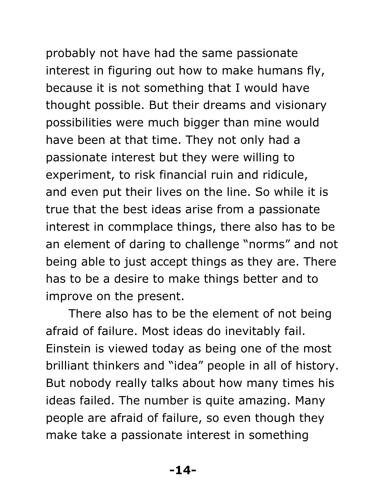probably not have had the same passionate

interest in figuring out how to make humans fly, because it is not something that I would have thought possible. But their dreams and visionary possibilities were much bigger than mine would have been at that time. They not only had a passionate interest but they were willing to experiment, to risk financial ruin and ridicule, and even put their lives on the line. So while it is true that the best ideas arise from a passionate interest in commplace things, there also has to be an element of daring to challenge "norms" and not being able to just accept things as they are. There has to be a desire to make things better and to improve on the present.

There also has to be the element of not being afraid of failure. Most ideas do inevitably fail. Einstein is viewed today as being one of the most brilliant thinkers and "idea" people in all of history. But nobody really talks about how many times his ideas failed. The number is quite amazing. Many people are afraid of failure, so even though they make take a passionate interest in something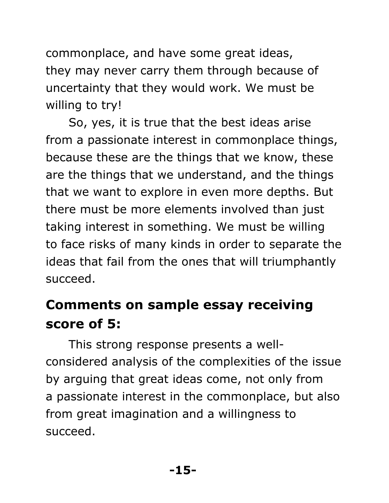commonplace, and have some great ideas, they may never carry them through because of uncertainty that they would work. We must be willing to try!

So, yes, it is true that the best ideas arise from a passionate interest in commonplace things, because these are the things that we know, these are the things that we understand, and the things that we want to explore in even more depths. But there must be more elements involved than just taking interest in something. We must be willing to face risks of many kinds in order to separate the ideas that fail from the ones that will triumphantly succeed.

#### **Comments on sample essay receiving score of 5:**

This strong response presents a wellconsidered analysis of the complexities of the issue by arguing that great ideas come, not only from a passionate interest in the commonplace, but also from great imagination and a willingness to succeed.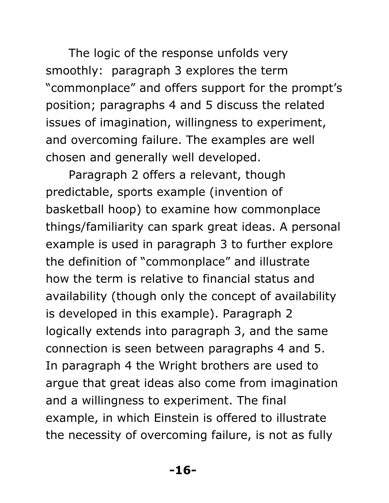The logic of the response unfolds very smoothly: paragraph 3 explores the term "commonplace" and offers support for the prompt's position; paragraphs 4 and 5 discuss the related issues of imagination, willingness to experiment, and overcoming failure. The examples are well chosen and generally well developed.

Paragraph 2 offers a relevant, though predictable, sports example (invention of basketball hoop) to examine how commonplace things/familiarity can spark great ideas. A personal example is used in paragraph 3 to further explore the definition of "commonplace" and illustrate how the term is relative to financial status and availability (though only the concept of availability is developed in this example). Paragraph 2 logically extends into paragraph 3, and the same connection is seen between paragraphs 4 and 5. In paragraph 4 the Wright brothers are used to argue that great ideas also come from imagination and a willingness to experiment. The final example, in which Einstein is offered to illustrate the necessity of overcoming failure, is not as fully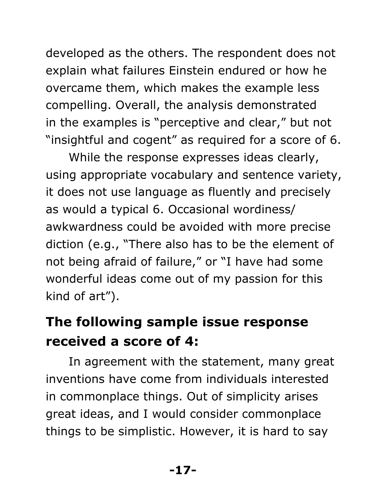developed as the others. The respondent does not explain what failures Einstein endured or how he overcame them, which makes the example less compelling. Overall, the analysis demonstrated in the examples is "perceptive and clear," but not "insightful and cogent" as required for a score of 6.

While the response expresses ideas clearly, using appropriate vocabulary and sentence variety, it does not use language as fluently and precisely as would a typical 6. Occasional wordiness/ awkwardness could be avoided with more precise diction (e.g., "There also has to be the element of not being afraid of failure," or "I have had some wonderful ideas come out of my passion for this kind of art").

#### **The following sample issue response received a score of 4:**

In agreement with the statement, many great inventions have come from individuals interested in commonplace things. Out of simplicity arises great ideas, and I would consider commonplace things to be simplistic. However, it is hard to say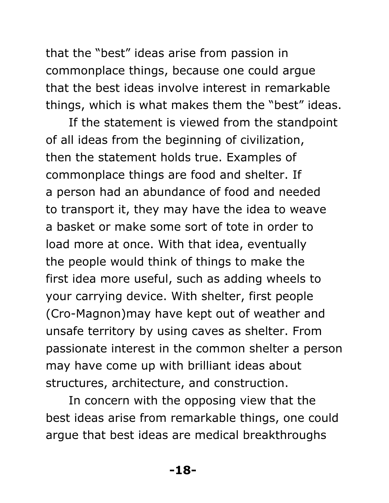that the "best" ideas arise from passion in commonplace things, because one could argue that the best ideas involve interest in remarkable things, which is what makes them the "best" ideas.

If the statement is viewed from the standpoint of all ideas from the beginning of civilization, then the statement holds true. Examples of commonplace things are food and shelter. If a person had an abundance of food and needed to transport it, they may have the idea to weave a basket or make some sort of tote in order to load more at once. With that idea, eventually the people would think of things to make the first idea more useful, such as adding wheels to your carrying device. With shelter, first people (Cro-Magnon)may have kept out of weather and unsafe territory by using caves as shelter. From passionate interest in the common shelter a person may have come up with brilliant ideas about structures, architecture, and construction.

In concern with the opposing view that the best ideas arise from remarkable things, one could argue that best ideas are medical breakthroughs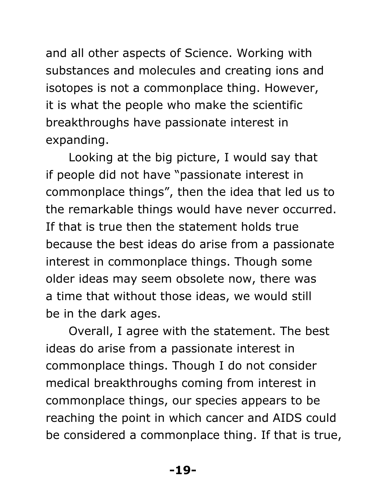and all other aspects of Science. Working with substances and molecules and creating ions and isotopes is not a commonplace thing. However, it is what the people who make the scientific breakthroughs have passionate interest in expanding.

Looking at the big picture, I would say that if people did not have "passionate interest in commonplace things", then the idea that led us to the remarkable things would have never occurred. If that is true then the statement holds true because the best ideas do arise from a passionate interest in commonplace things. Though some older ideas may seem obsolete now, there was a time that without those ideas, we would still be in the dark ages.

Overall, I agree with the statement. The best ideas do arise from a passionate interest in commonplace things. Though I do not consider medical breakthroughs coming from interest in commonplace things, our species appears to be reaching the point in which cancer and AIDS could be considered a commonplace thing. If that is true,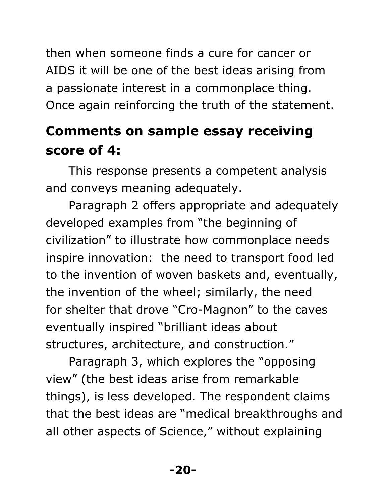then when someone finds a cure for cancer or AIDS it will be one of the best ideas arising from a passionate interest in a commonplace thing. Once again reinforcing the truth of the statement.

#### **Comments on sample essay receiving score of 4:**

This response presents a competent analysis and conveys meaning adequately.

Paragraph 2 offers appropriate and adequately developed examples from "the beginning of civilization" to illustrate how commonplace needs inspire innovation: the need to transport food led to the invention of woven baskets and, eventually, the invention of the wheel; similarly, the need for shelter that drove "Cro-Magnon" to the caves eventually inspired "brilliant ideas about structures, architecture, and construction."

Paragraph 3, which explores the "opposing view" (the best ideas arise from remarkable things), is less developed. The respondent claims that the best ideas are "medical breakthroughs and all other aspects of Science," without explaining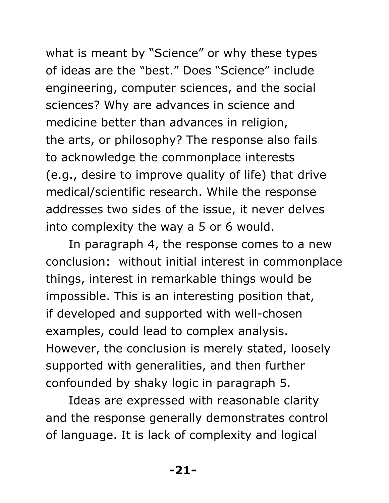what is meant by "Science" or why these types of ideas are the "best." Does "Science" include engineering, computer sciences, and the social sciences? Why are advances in science and medicine better than advances in religion, the arts, or philosophy? The response also fails to acknowledge the commonplace interests (e.g., desire to improve quality of life) that drive medical/scientific research. While the response addresses two sides of the issue, it never delves into complexity the way a 5 or 6 would.

In paragraph 4, the response comes to a new conclusion: without initial interest in commonplace things, interest in remarkable things would be impossible. This is an interesting position that, if developed and supported with well-chosen examples, could lead to complex analysis. However, the conclusion is merely stated, loosely supported with generalities, and then further confounded by shaky logic in paragraph 5.

Ideas are expressed with reasonable clarity and the response generally demonstrates control of language. It is lack of complexity and logical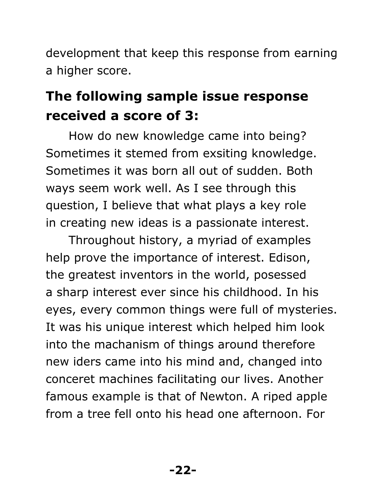development that keep this response from earning a higher score.

#### **The following sample issue response received a score of 3:**

How do new knowledge came into being? Sometimes it stemed from exsiting knowledge. Sometimes it was born all out of sudden. Both ways seem work well. As I see through this question, I believe that what plays a key role in creating new ideas is a passionate interest.

Throughout history, a myriad of examples help prove the importance of interest. Edison, the greatest inventors in the world, posessed a sharp interest ever since his childhood. In his eyes, every common things were full of mysteries. It was his unique interest which helped him look into the machanism of things around therefore new iders came into his mind and, changed into conceret machines facilitating our lives. Another famous example is that of Newton. A riped apple from a tree fell onto his head one afternoon. For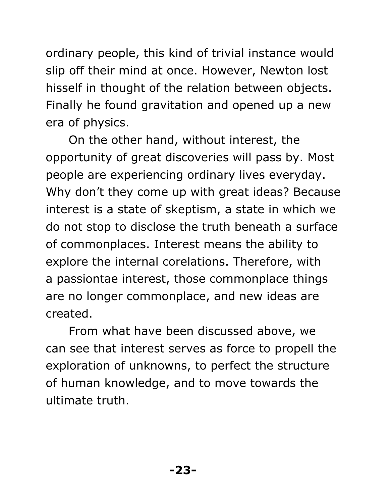ordinary people, this kind of trivial instance would slip off their mind at once. However, Newton lost hisself in thought of the relation between objects. Finally he found gravitation and opened up a new era of physics.

On the other hand, without interest, the opportunity of great discoveries will pass by. Most people are experiencing ordinary lives everyday. Why don't they come up with great ideas? Because interest is a state of skeptism, a state in which we do not stop to disclose the truth beneath a surface of commonplaces. Interest means the ability to explore the internal corelations. Therefore, with a passiontae interest, those commonplace things are no longer commonplace, and new ideas are created.

From what have been discussed above, we can see that interest serves as force to propell the exploration of unknowns, to perfect the structure of human knowledge, and to move towards the ultimate truth.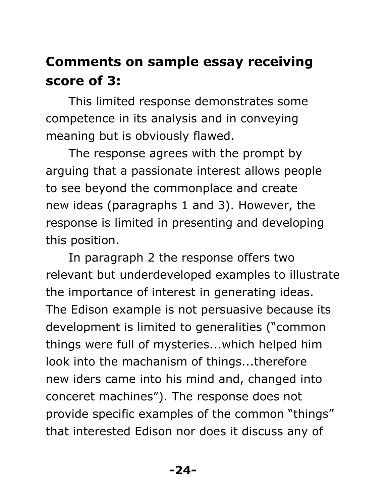#### **Comments on sample essay receiving score of 3:**

This limited response demonstrates some competence in its analysis and in conveying meaning but is obviously flawed.

The response agrees with the prompt by arguing that a passionate interest allows people to see beyond the commonplace and create new ideas (paragraphs 1 and 3). However, the response is limited in presenting and developing this position.

In paragraph 2 the response offers two relevant but underdeveloped examples to illustrate the importance of interest in generating ideas. The Edison example is not persuasive because its development is limited to generalities ("common things were full of mysteries...which helped him look into the machanism of things...therefore new iders came into his mind and, changed into conceret machines"). The response does not provide specific examples of the common "things" that interested Edison nor does it discuss any of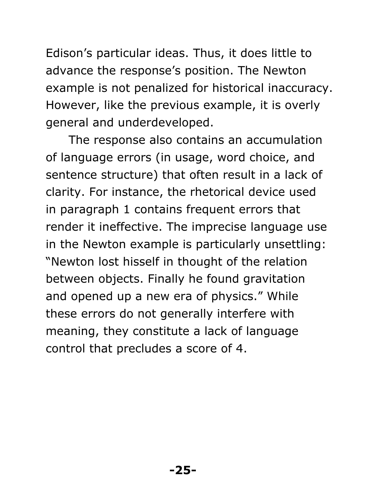Edison's particular ideas. Thus, it does little to advance the response's position. The Newton example is not penalized for historical inaccuracy. However, like the previous example, it is overly general and underdeveloped.

The response also contains an accumulation of language errors (in usage, word choice, and sentence structure) that often result in a lack of clarity. For instance, the rhetorical device used in paragraph 1 contains frequent errors that render it ineffective. The imprecise language use in the Newton example is particularly unsettling: "Newton lost hisself in thought of the relation between objects. Finally he found gravitation and opened up a new era of physics." While these errors do not generally interfere with meaning, they constitute a lack of language control that precludes a score of 4.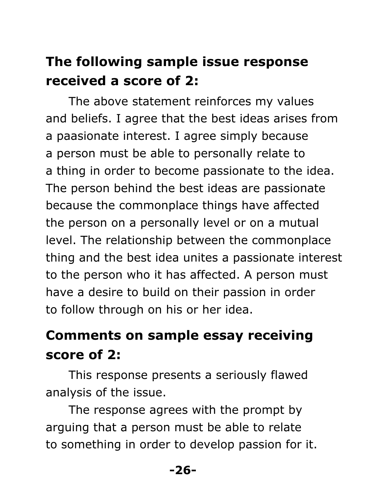#### **The following sample issue response received a score of 2:**

The above statement reinforces my values and beliefs. I agree that the best ideas arises from a paasionate interest. I agree simply because a person must be able to personally relate to a thing in order to become passionate to the idea. The person behind the best ideas are passionate because the commonplace things have affected the person on a personally level or on a mutual level. The relationship between the commonplace thing and the best idea unites a passionate interest to the person who it has affected. A person must have a desire to build on their passion in order to follow through on his or her idea.

#### **Comments on sample essay receiving score of 2:**

This response presents a seriously flawed analysis of the issue.

The response agrees with the prompt by arguing that a person must be able to relate to something in order to develop passion for it.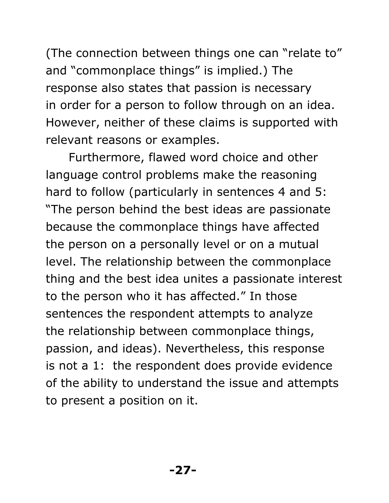(The connection between things one can "relate to" and "commonplace things" is implied.) The response also states that passion is necessary in order for a person to follow through on an idea. However, neither of these claims is supported with relevant reasons or examples.

Furthermore, flawed word choice and other language control problems make the reasoning hard to follow (particularly in sentences 4 and 5: "The person behind the best ideas are passionate because the commonplace things have affected the person on a personally level or on a mutual level. The relationship between the commonplace thing and the best idea unites a passionate interest to the person who it has affected." In those sentences the respondent attempts to analyze the relationship between commonplace things, passion, and ideas). Nevertheless, this response is not a 1: the respondent does provide evidence of the ability to understand the issue and attempts to present a position on it.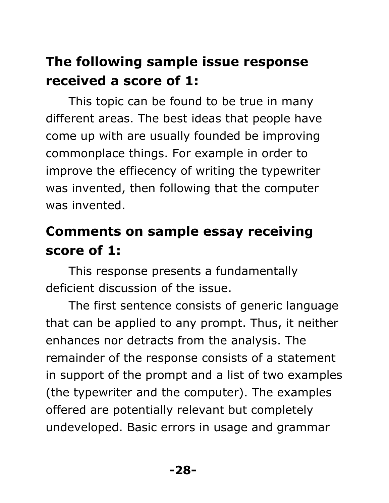#### **The following sample issue response received a score of 1:**

This topic can be found to be true in many different areas. The best ideas that people have come up with are usually founded be improving commonplace things. For example in order to improve the effiecency of writing the typewriter was invented, then following that the computer was invented.

#### **Comments on sample essay receiving score of 1:**

This response presents a fundamentally deficient discussion of the issue.

The first sentence consists of generic language that can be applied to any prompt. Thus, it neither enhances nor detracts from the analysis. The remainder of the response consists of a statement in support of the prompt and a list of two examples (the typewriter and the computer). The examples offered are potentially relevant but completely undeveloped. Basic errors in usage and grammar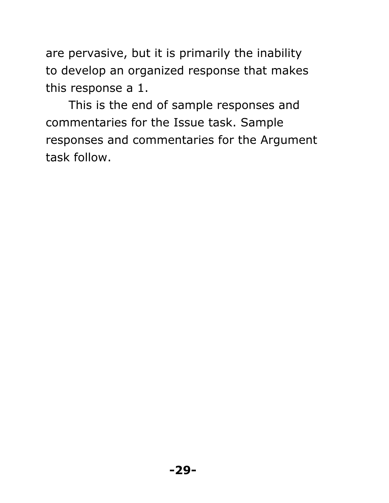are pervasive, but it is primarily the inability to develop an organized response that makes this response a 1.

This is the end of sample responses and commentaries for the Issue task. Sample responses and commentaries for the Argument task follow.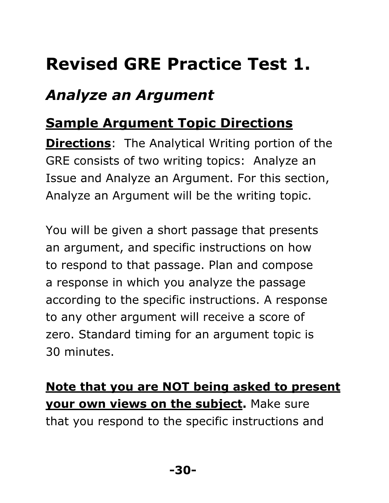## **Revised GRE Practice Test 1.**

#### *Analyze an Argument*

#### **Sample Argument Topic Directions**

**Directions**: The Analytical Writing portion of the GRE consists of two writing topics: Analyze an Issue and Analyze an Argument. For this section, Analyze an Argument will be the writing topic.

You will be given a short passage that presents an argument, and specific instructions on how to respond to that passage. Plan and compose a response in which you analyze the passage according to the specific instructions. A response to any other argument will receive a score of zero. Standard timing for an argument topic is 30 minutes.

**Note that you are NOT being asked to present your own views on the subject.** Make sure that you respond to the specific instructions and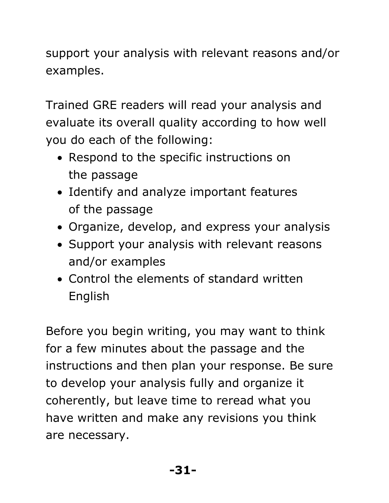support your analysis with relevant reasons and/or examples.

Trained GRE readers will read your analysis and evaluate its overall quality according to how well you do each of the following:

- Respond to the specific instructions on the passage
- Identify and analyze important features of the passage
- Organize, develop, and express your analysis
- Support your analysis with relevant reasons and/or examples
- Control the elements of standard written English

Before you begin writing, you may want to think for a few minutes about the passage and the instructions and then plan your response. Be sure to develop your analysis fully and organize it coherently, but leave time to reread what you have written and make any revisions you think are necessary.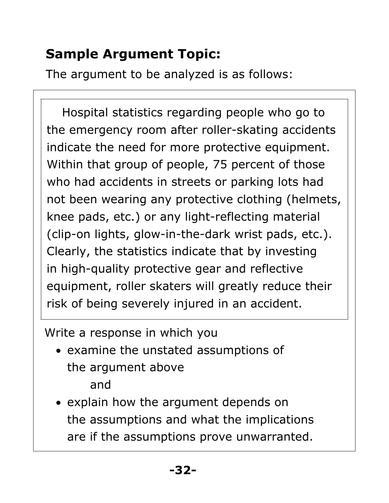#### **Sample Argument Topic:**

The argument to be analyzed is as follows:

 Hospital statistics regarding people who go to the emergency room after roller-skating accidents indicate the need for more protective equipment. Within that group of people, 75 percent of those who had accidents in streets or parking lots had not been wearing any protective clothing (helmets, knee pads, etc.) or any light-reflecting material (clip-on lights, glow-in-the-dark wrist pads, etc.). Clearly, the statistics indicate that by investing in high-quality protective gear and reflective equipment, roller skaters will greatly reduce their risk of being severely injured in an accident.

Write a response in which you

- examine the unstated assumptions of the argument above and
- explain how the argument depends on the assumptions and what the implications are if the assumptions prove unwarranted.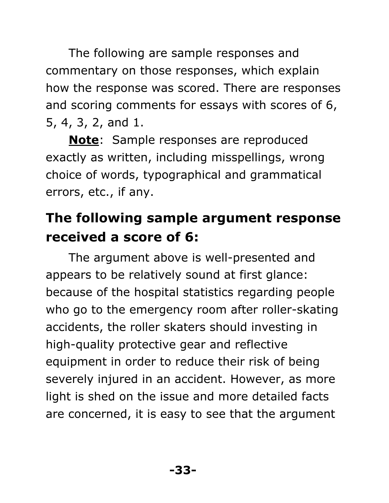The following are sample responses and commentary on those responses, which explain how the response was scored. There are responses and scoring comments for essays with scores of 6, 5, 4, 3, 2, and 1.

**Note**: Sample responses are reproduced exactly as written, including misspellings, wrong choice of words, typographical and grammatical errors, etc., if any.

#### **The following sample argument response received a score of 6:**

The argument above is well-presented and appears to be relatively sound at first glance: because of the hospital statistics regarding people who go to the emergency room after roller-skating accidents, the roller skaters should investing in high-quality protective gear and reflective equipment in order to reduce their risk of being severely injured in an accident. However, as more light is shed on the issue and more detailed facts are concerned, it is easy to see that the argument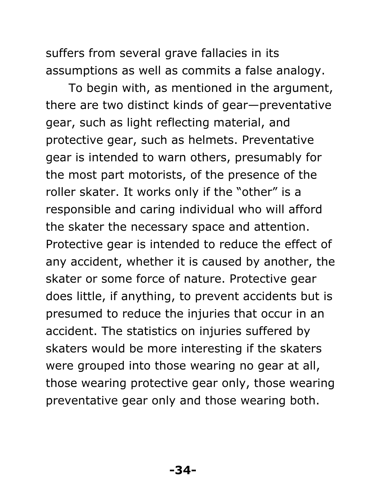suffers from several grave fallacies in its assumptions as well as commits a false analogy.

To begin with, as mentioned in the argument, there are two distinct kinds of gear—preventative gear, such as light reflecting material, and protective gear, such as helmets. Preventative gear is intended to warn others, presumably for the most part motorists, of the presence of the roller skater. It works only if the "other" is a responsible and caring individual who will afford the skater the necessary space and attention. Protective gear is intended to reduce the effect of any accident, whether it is caused by another, the skater or some force of nature. Protective gear does little, if anything, to prevent accidents but is presumed to reduce the injuries that occur in an accident. The statistics on injuries suffered by skaters would be more interesting if the skaters were grouped into those wearing no gear at all, those wearing protective gear only, those wearing preventative gear only and those wearing both.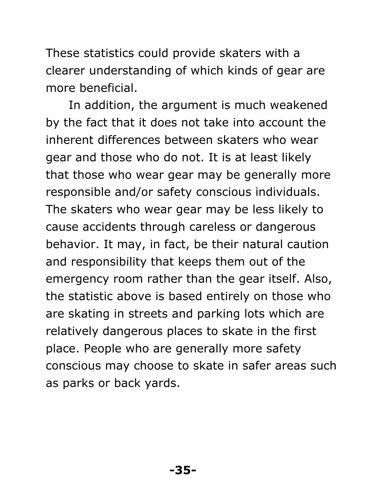These statistics could provide skaters with a clearer understanding of which kinds of gear are more beneficial.

In addition, the argument is much weakened by the fact that it does not take into account the inherent differences between skaters who wear gear and those who do not. It is at least likely that those who wear gear may be generally more responsible and/or safety conscious individuals. The skaters who wear gear may be less likely to cause accidents through careless or dangerous behavior. It may, in fact, be their natural caution and responsibility that keeps them out of the emergency room rather than the gear itself. Also, the statistic above is based entirely on those who are skating in streets and parking lots which are relatively dangerous places to skate in the first place. People who are generally more safety conscious may choose to skate in safer areas such as parks or back yards.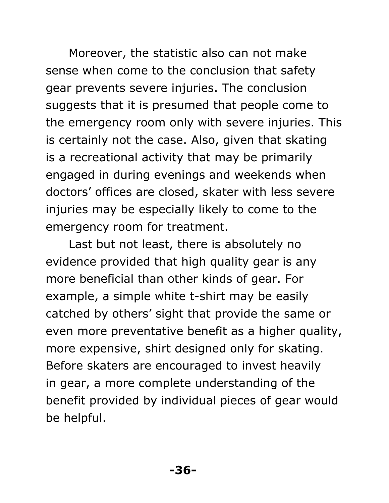Moreover, the statistic also can not make sense when come to the conclusion that safety gear prevents severe injuries. The conclusion suggests that it is presumed that people come to the emergency room only with severe injuries. This is certainly not the case. Also, given that skating is a recreational activity that may be primarily engaged in during evenings and weekends when doctors' offices are closed, skater with less severe injuries may be especially likely to come to the emergency room for treatment.

Last but not least, there is absolutely no evidence provided that high quality gear is any more beneficial than other kinds of gear. For example, a simple white t-shirt may be easily catched by others' sight that provide the same or even more preventative benefit as a higher quality, more expensive, shirt designed only for skating. Before skaters are encouraged to invest heavily in gear, a more complete understanding of the benefit provided by individual pieces of gear would be helpful.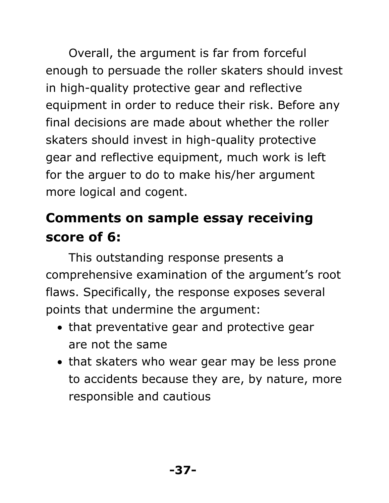Overall, the argument is far from forceful enough to persuade the roller skaters should invest in high-quality protective gear and reflective equipment in order to reduce their risk. Before any final decisions are made about whether the roller skaters should invest in high-quality protective gear and reflective equipment, much work is left for the arguer to do to make his/her argument more logical and cogent.

#### **Comments on sample essay receiving score of 6:**

This outstanding response presents a comprehensive examination of the argument's root flaws. Specifically, the response exposes several points that undermine the argument:

- that preventative gear and protective gear are not the same
- that skaters who wear gear may be less prone to accidents because they are, by nature, more responsible and cautious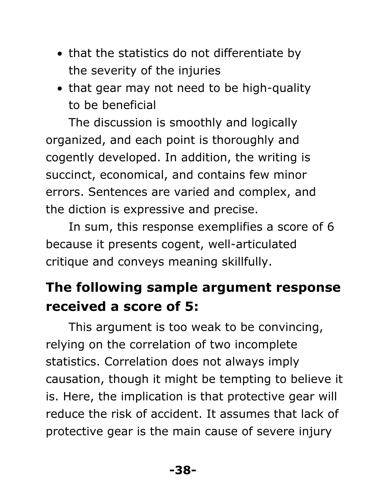- that the statistics do not differentiate by the severity of the injuries
- that gear may not need to be high-quality to be beneficial

The discussion is smoothly and logically organized, and each point is thoroughly and cogently developed. In addition, the writing is succinct, economical, and contains few minor errors. Sentences are varied and complex, and the diction is expressive and precise.

In sum, this response exemplifies a score of 6 because it presents cogent, well-articulated critique and conveys meaning skillfully.

#### **The following sample argument response received a score of 5:**

This argument is too weak to be convincing, relying on the correlation of two incomplete statistics. Correlation does not always imply causation, though it might be tempting to believe it is. Here, the implication is that protective gear will reduce the risk of accident. It assumes that lack of protective gear is the main cause of severe injury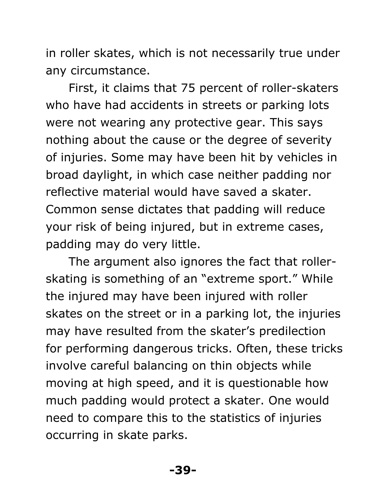in roller skates, which is not necessarily true under any circumstance.

First, it claims that 75 percent of roller-skaters who have had accidents in streets or parking lots were not wearing any protective gear. This says nothing about the cause or the degree of severity of injuries. Some may have been hit by vehicles in broad daylight, in which case neither padding nor reflective material would have saved a skater. Common sense dictates that padding will reduce your risk of being injured, but in extreme cases, padding may do very little.

The argument also ignores the fact that rollerskating is something of an "extreme sport." While the injured may have been injured with roller skates on the street or in a parking lot, the injuries may have resulted from the skater's predilection for performing dangerous tricks. Often, these tricks involve careful balancing on thin objects while moving at high speed, and it is questionable how much padding would protect a skater. One would need to compare this to the statistics of injuries occurring in skate parks.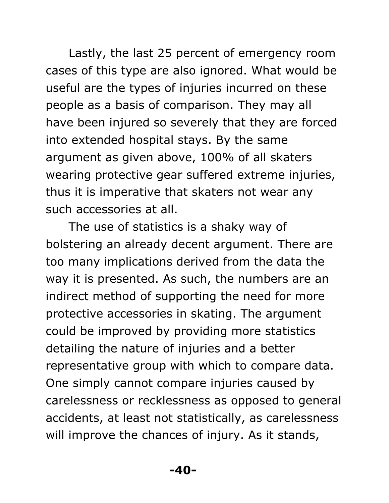Lastly, the last 25 percent of emergency room cases of this type are also ignored. What would be useful are the types of injuries incurred on these people as a basis of comparison. They may all have been injured so severely that they are forced into extended hospital stays. By the same argument as given above, 100% of all skaters wearing protective gear suffered extreme injuries, thus it is imperative that skaters not wear any such accessories at all.

The use of statistics is a shaky way of bolstering an already decent argument. There are too many implications derived from the data the way it is presented. As such, the numbers are an indirect method of supporting the need for more protective accessories in skating. The argument could be improved by providing more statistics detailing the nature of injuries and a better representative group with which to compare data. One simply cannot compare injuries caused by carelessness or recklessness as opposed to general accidents, at least not statistically, as carelessness will improve the chances of injury. As it stands,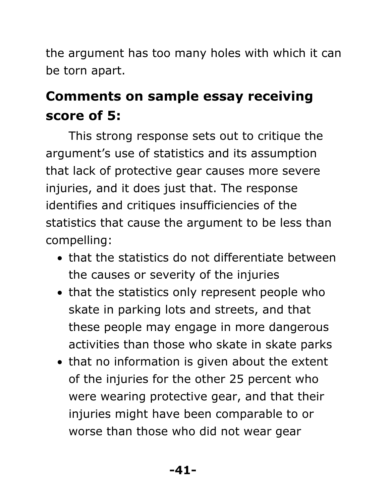the argument has too many holes with which it can be torn apart.

#### **Comments on sample essay receiving score of 5:**

This strong response sets out to critique the argument's use of statistics and its assumption that lack of protective gear causes more severe injuries, and it does just that. The response identifies and critiques insufficiencies of the statistics that cause the argument to be less than compelling:

- that the statistics do not differentiate between the causes or severity of the injuries
- that the statistics only represent people who skate in parking lots and streets, and that these people may engage in more dangerous activities than those who skate in skate parks
- that no information is given about the extent of the injuries for the other 25 percent who were wearing protective gear, and that their injuries might have been comparable to or worse than those who did not wear gear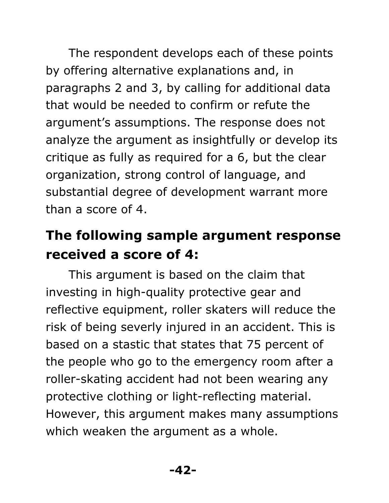The respondent develops each of these points by offering alternative explanations and, in paragraphs 2 and 3, by calling for additional data that would be needed to confirm or refute the argument's assumptions. The response does not analyze the argument as insightfully or develop its critique as fully as required for a 6, but the clear organization, strong control of language, and substantial degree of development warrant more than a score of 4.

#### **The following sample argument response received a score of 4:**

This argument is based on the claim that investing in high-quality protective gear and reflective equipment, roller skaters will reduce the risk of being severly injured in an accident. This is based on a stastic that states that 75 percent of the people who go to the emergency room after a roller-skating accident had not been wearing any protective clothing or light-reflecting material. However, this argument makes many assumptions which weaken the argument as a whole.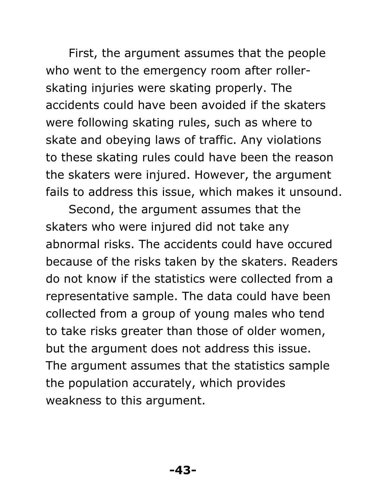First, the argument assumes that the people who went to the emergency room after rollerskating injuries were skating properly. The accidents could have been avoided if the skaters were following skating rules, such as where to skate and obeying laws of traffic. Any violations to these skating rules could have been the reason the skaters were injured. However, the argument fails to address this issue, which makes it unsound.

Second, the argument assumes that the skaters who were injured did not take any abnormal risks. The accidents could have occured because of the risks taken by the skaters. Readers do not know if the statistics were collected from a representative sample. The data could have been collected from a group of young males who tend to take risks greater than those of older women, but the argument does not address this issue. The argument assumes that the statistics sample the population accurately, which provides weakness to this argument.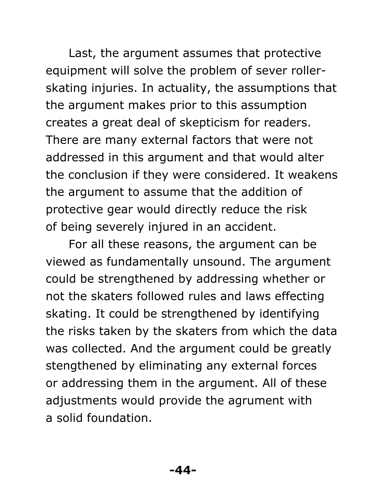Last, the argument assumes that protective equipment will solve the problem of sever rollerskating injuries. In actuality, the assumptions that the argument makes prior to this assumption creates a great deal of skepticism for readers. There are many external factors that were not addressed in this argument and that would alter the conclusion if they were considered. It weakens the argument to assume that the addition of protective gear would directly reduce the risk of being severely injured in an accident.

For all these reasons, the argument can be viewed as fundamentally unsound. The argument could be strengthened by addressing whether or not the skaters followed rules and laws effecting skating. It could be strengthened by identifying the risks taken by the skaters from which the data was collected. And the argument could be greatly stengthened by eliminating any external forces or addressing them in the argument. All of these adjustments would provide the agrument with a solid foundation.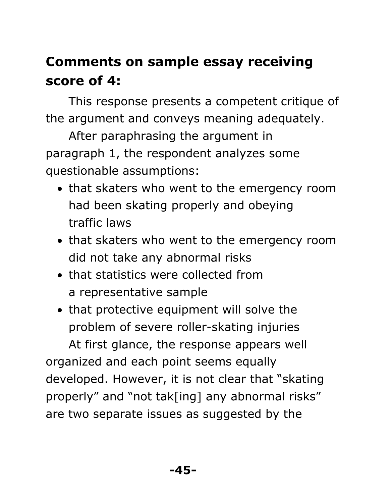#### **Comments on sample essay receiving score of 4:**

This response presents a competent critique of the argument and conveys meaning adequately.

After paraphrasing the argument in paragraph 1, the respondent analyzes some questionable assumptions:

- that skaters who went to the emergency room had been skating properly and obeying traffic laws
- that skaters who went to the emergency room did not take any abnormal risks
- that statistics were collected from a representative sample
- that protective equipment will solve the problem of severe roller-skating injuries

At first glance, the response appears well organized and each point seems equally developed. However, it is not clear that "skating properly" and "not tak[ing] any abnormal risks" are two separate issues as suggested by the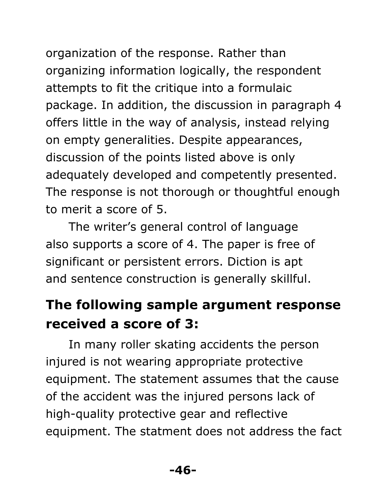organization of the response. Rather than organizing information logically, the respondent attempts to fit the critique into a formulaic package. In addition, the discussion in paragraph 4 offers little in the way of analysis, instead relying on empty generalities. Despite appearances, discussion of the points listed above is only adequately developed and competently presented. The response is not thorough or thoughtful enough to merit a score of 5.

The writer's general control of language also supports a score of 4. The paper is free of significant or persistent errors. Diction is apt and sentence construction is generally skillful.

#### **The following sample argument response received a score of 3:**

In many roller skating accidents the person injured is not wearing appropriate protective equipment. The statement assumes that the cause of the accident was the injured persons lack of high-quality protective gear and reflective equipment. The statment does not address the fact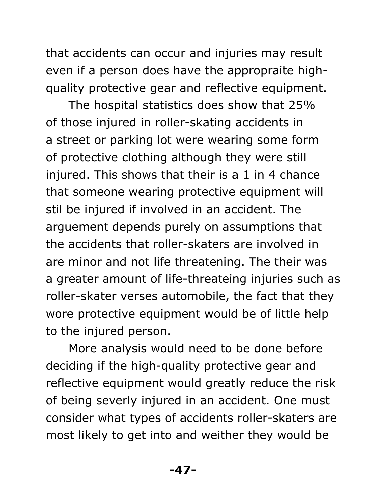that accidents can occur and injuries may result even if a person does have the appropraite highquality protective gear and reflective equipment.

The hospital statistics does show that 25% of those injured in roller-skating accidents in a street or parking lot were wearing some form of protective clothing although they were still injured. This shows that their is a 1 in 4 chance that someone wearing protective equipment will stil be injured if involved in an accident. The arguement depends purely on assumptions that the accidents that roller-skaters are involved in are minor and not life threatening. The their was a greater amount of life-threateing injuries such as roller-skater verses automobile, the fact that they wore protective equipment would be of little help to the injured person.

More analysis would need to be done before deciding if the high-quality protective gear and reflective equipment would greatly reduce the risk of being severly injured in an accident. One must consider what types of accidents roller-skaters are most likely to get into and weither they would be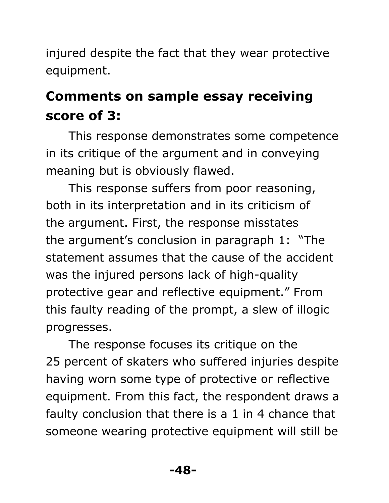injured despite the fact that they wear protective equipment.

#### **Comments on sample essay receiving score of 3:**

This response demonstrates some competence in its critique of the argument and in conveying meaning but is obviously flawed.

This response suffers from poor reasoning, both in its interpretation and in its criticism of the argument. First, the response misstates the argument's conclusion in paragraph 1: "The statement assumes that the cause of the accident was the injured persons lack of high-quality protective gear and reflective equipment." From this faulty reading of the prompt, a slew of illogic progresses.

The response focuses its critique on the 25 percent of skaters who suffered injuries despite having worn some type of protective or reflective equipment. From this fact, the respondent draws a faulty conclusion that there is a 1 in 4 chance that someone wearing protective equipment will still be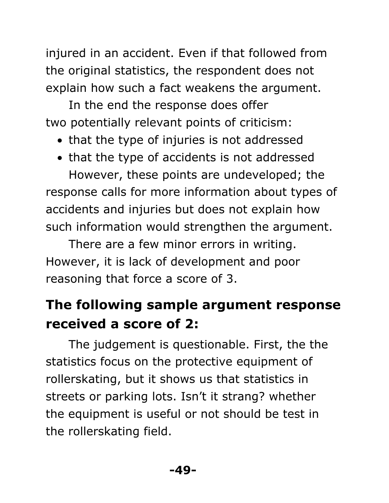injured in an accident. Even if that followed from the original statistics, the respondent does not explain how such a fact weakens the argument.

In the end the response does offer two potentially relevant points of criticism:

- that the type of injuries is not addressed
- that the type of accidents is not addressed However, these points are undeveloped; the

response calls for more information about types of accidents and injuries but does not explain how such information would strengthen the argument.

There are a few minor errors in writing. However, it is lack of development and poor reasoning that force a score of 3.

#### **The following sample argument response received a score of 2:**

The judgement is questionable. First, the the statistics focus on the protective equipment of rollerskating, but it shows us that statistics in streets or parking lots. Isn't it strang? whether the equipment is useful or not should be test in the rollerskating field.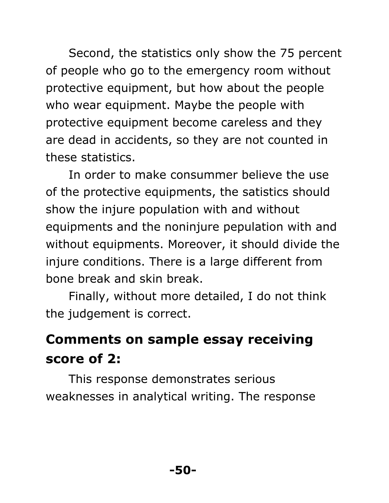Second, the statistics only show the 75 percent of people who go to the emergency room without protective equipment, but how about the people who wear equipment. Maybe the people with protective equipment become careless and they are dead in accidents, so they are not counted in these statistics.

In order to make consummer believe the use of the protective equipments, the satistics should show the injure population with and without equipments and the noninjure pepulation with and without equipments. Moreover, it should divide the injure conditions. There is a large different from bone break and skin break.

Finally, without more detailed, I do not think the judgement is correct.

#### **Comments on sample essay receiving score of 2:**

This response demonstrates serious weaknesses in analytical writing. The response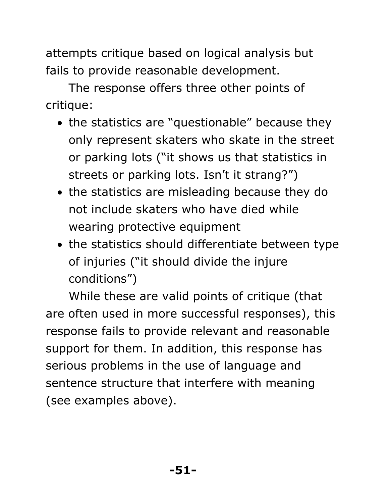attempts critique based on logical analysis but fails to provide reasonable development.

The response offers three other points of critique:

- the statistics are "questionable" because they only represent skaters who skate in the street or parking lots ("it shows us that statistics in streets or parking lots. Isn't it strang?")
- the statistics are misleading because they do not include skaters who have died while wearing protective equipment
- the statistics should differentiate between type of injuries ("it should divide the injure conditions")

While these are valid points of critique (that are often used in more successful responses), this response fails to provide relevant and reasonable support for them. In addition, this response has serious problems in the use of language and sentence structure that interfere with meaning (see examples above).